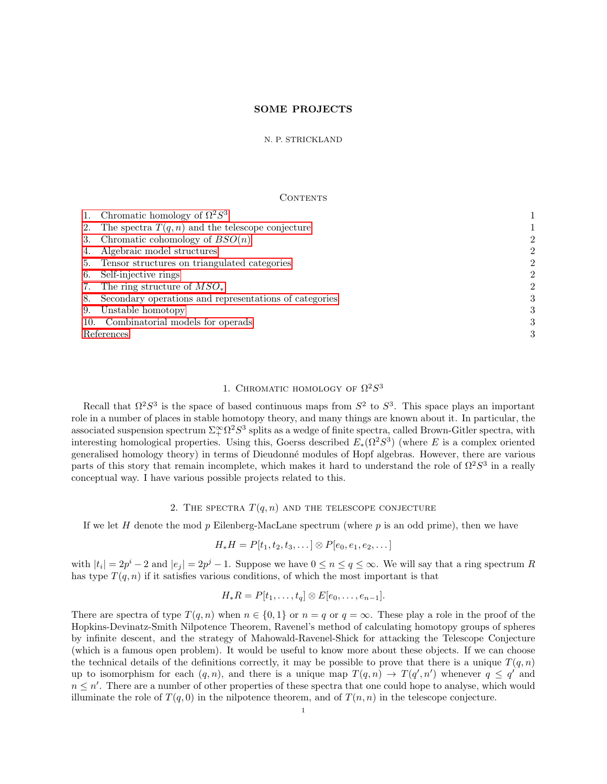# SOME PROJECTS

### N. P. STRICKLAND

#### CONTENTS

| 2              |
|----------------|
| $\overline{2}$ |
| $\overline{2}$ |
| $\overline{2}$ |
| $\mathfrak{D}$ |
| 3              |
| 3              |
| 3              |
| 3              |
|                |

# 1. CHROMATIC HOMOLOGY OF  $\Omega^2S^3$

<span id="page-0-0"></span>Recall that  $\Omega^2 S^3$  is the space of based continuous maps from  $S^2$  to  $S^3$ . This space plays an important role in a number of places in stable homotopy theory, and many things are known about it. In particular, the associated suspension spectrum  $\Sigma^{\infty}_+ \Omega^2 S^3$  splits as a wedge of finite spectra, called Brown-Gitler spectra, with interesting homological properties. Using this, Goerss described  $E_*(\Omega^2 S^3)$  (where E is a complex oriented generalised homology theory) in terms of Dieudonn´e modules of Hopf algebras. However, there are various parts of this story that remain incomplete, which makes it hard to understand the role of  $\Omega^2 S^3$  in a really conceptual way. I have various possible projects related to this.

# 2. THE SPECTRA  $T(q, n)$  and the telescope conjecture

<span id="page-0-1"></span>If we let H denote the mod p Eilenberg-MacLane spectrum (where  $p$  is an odd prime), then we have

$$
H_*H = P[t_1, t_2, t_3, \dots] \otimes P[e_0, e_1, e_2, \dots]
$$

with  $|t_i| = 2p^i - 2$  and  $|e_j| = 2p^j - 1$ . Suppose we have  $0 \le n \le q \le \infty$ . We will say that a ring spectrum R has type  $T(q, n)$  if it satisfies various conditions, of which the most important is that

$$
H_*R = P[t_1,\ldots,t_q] \otimes E[e_0,\ldots,e_{n-1}].
$$

There are spectra of type  $T(q, n)$  when  $n \in \{0, 1\}$  or  $n = q$  or  $q = \infty$ . These play a role in the proof of the Hopkins-Devinatz-Smith Nilpotence Theorem, Ravenel's method of calculating homotopy groups of spheres by infinite descent, and the strategy of Mahowald-Ravenel-Shick for attacking the Telescope Conjecture (which is a famous open problem). It would be useful to know more about these objects. If we can choose the technical details of the definitions correctly, it may be possible to prove that there is a unique  $T(q, n)$ up to isomorphism for each  $(q, n)$ , and there is a unique map  $T(q, n) \to T(q', n')$  whenever  $q \leq q'$  and  $n \leq n'$ . There are a number of other properties of these spectra that one could hope to analyse, which would illuminate the role of  $T(q, 0)$  in the nilpotence theorem, and of  $T(n, n)$  in the telescope conjecture.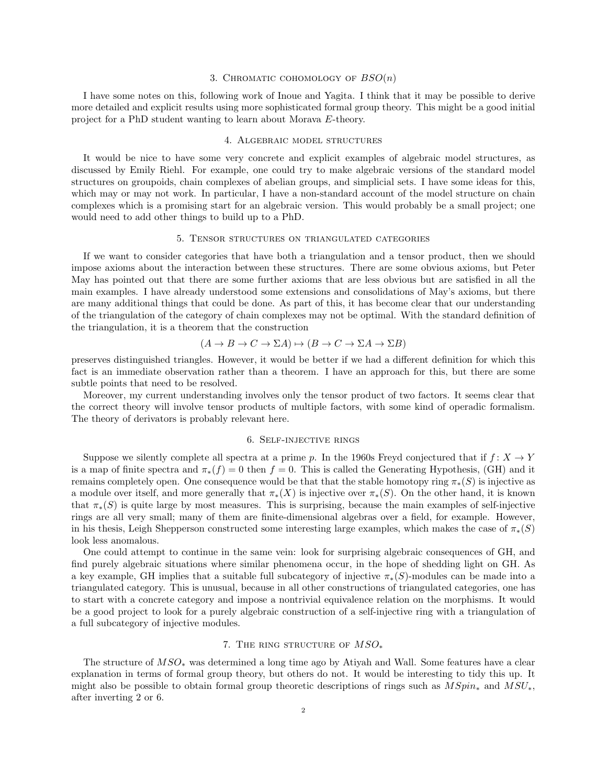#### 3. CHROMATIC COHOMOLOGY OF  $BSO(n)$

<span id="page-1-0"></span>I have some notes on this, following work of Inoue and Yagita. I think that it may be possible to derive more detailed and explicit results using more sophisticated formal group theory. This might be a good initial project for a PhD student wanting to learn about Morava E-theory.

## 4. Algebraic model structures

<span id="page-1-1"></span>It would be nice to have some very concrete and explicit examples of algebraic model structures, as discussed by Emily Riehl. For example, one could try to make algebraic versions of the standard model structures on groupoids, chain complexes of abelian groups, and simplicial sets. I have some ideas for this, which may or may not work. In particular, I have a non-standard account of the model structure on chain complexes which is a promising start for an algebraic version. This would probably be a small project; one would need to add other things to build up to a PhD.

## 5. Tensor structures on triangulated categories

<span id="page-1-2"></span>If we want to consider categories that have both a triangulation and a tensor product, then we should impose axioms about the interaction between these structures. There are some obvious axioms, but Peter May has pointed out that there are some further axioms that are less obvious but are satisfied in all the main examples. I have already understood some extensions and consolidations of May's axioms, but there are many additional things that could be done. As part of this, it has become clear that our understanding of the triangulation of the category of chain complexes may not be optimal. With the standard definition of the triangulation, it is a theorem that the construction

$$
(A \to B \to C \to \Sigma A) \to (B \to C \to \Sigma A \to \Sigma B)
$$

preserves distinguished triangles. However, it would be better if we had a different definition for which this fact is an immediate observation rather than a theorem. I have an approach for this, but there are some subtle points that need to be resolved.

Moreover, my current understanding involves only the tensor product of two factors. It seems clear that the correct theory will involve tensor products of multiple factors, with some kind of operadic formalism. The theory of derivators is probably relevant here.

## 6. Self-injective rings

<span id="page-1-3"></span>Suppose we silently complete all spectra at a prime p. In the 1960s Freyd conjectured that if  $f: X \to Y$ is a map of finite spectra and  $\pi_*(f) = 0$  then  $f = 0$ . This is called the Generating Hypothesis, (GH) and it remains completely open. One consequence would be that that the stable homotopy ring  $\pi_*(S)$  is injective as a module over itself, and more generally that  $\pi_*(X)$  is injective over  $\pi_*(S)$ . On the other hand, it is known that  $\pi_*(S)$  is quite large by most measures. This is surprising, because the main examples of self-injective rings are all very small; many of them are finite-dimensional algebras over a field, for example. However, in his thesis, Leigh Shepperson constructed some interesting large examples, which makes the case of  $\pi_*(S)$ look less anomalous.

One could attempt to continue in the same vein: look for surprising algebraic consequences of GH, and find purely algebraic situations where similar phenomena occur, in the hope of shedding light on GH. As a key example, GH implies that a suitable full subcategory of injective  $\pi_*(S)$ -modules can be made into a triangulated category. This is unusual, because in all other constructions of triangulated categories, one has to start with a concrete category and impose a nontrivial equivalence relation on the morphisms. It would be a good project to look for a purely algebraic construction of a self-injective ring with a triangulation of a full subcategory of injective modules.

### 7. THE RING STRUCTURE OF  $MSO_*$

<span id="page-1-4"></span>The structure of MSO<sup>∗</sup> was determined a long time ago by Atiyah and Wall. Some features have a clear explanation in terms of formal group theory, but others do not. It would be interesting to tidy this up. It might also be possible to obtain formal group theoretic descriptions of rings such as  $MSpin_*$  and  $MSU_*$ , after inverting 2 or 6.